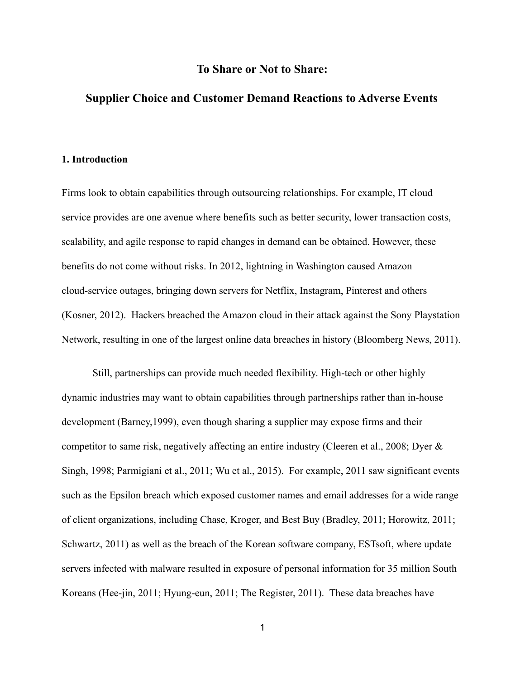## **To Share or Not to Share:**

# **Supplier Choice and Customer Demand Reactions to Adverse Events**

#### **1. Introduction**

Firms look to obtain capabilities through outsourcing relationships. For example, IT cloud service provides are one avenue where benefits such as better security, lower transaction costs, scalability, and agile response to rapid changes in demand can be obtained. However, these benefits do not come without risks. In 2012, lightning in Washington caused Amazon cloud-service outages, bringing down servers for Netflix, Instagram, Pinterest and others (Kosner, 2012). Hackers breached the Amazon cloud in their attack against the Sony Playstation Network, resulting in one of the largest online data breaches in history (Bloomberg News, 2011).

Still, partnerships can provide much needed flexibility. High-tech or other highly dynamic industries may want to obtain capabilities through partnerships rather than in-house development (Barney,1999), even though sharing a supplier may expose firms and their competitor to same risk, negatively affecting an entire industry (Cleeren et al., 2008; Dyer & Singh, 1998; Parmigiani et al., 2011; Wu et al., 2015). For example, 2011 saw significant events such as the Epsilon breach which exposed customer names and email addresses for a wide range of client organizations, including Chase, Kroger, and Best Buy (Bradley, 2011; Horowitz, 2011; Schwartz, 2011) as well as the breach of the Korean software company, ESTsoft, where update servers infected with malware resulted in exposure of personal information for 35 million South Koreans (Hee-jin, 2011; Hyung-eun, 2011; The Register, 2011). These data breaches have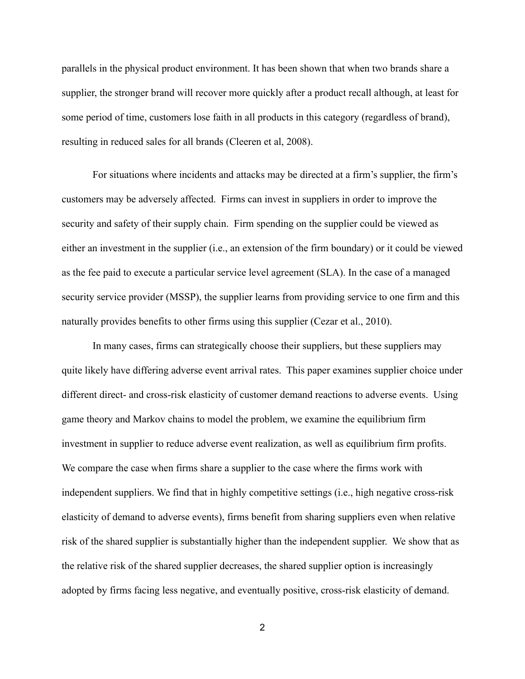parallels in the physical product environment. It has been shown that when two brands share a supplier, the stronger brand will recover more quickly after a product recall although, at least for some period of time, customers lose faith in all products in this category (regardless of brand), resulting in reduced sales for all brands (Cleeren et al, 2008).

For situations where incidents and attacks may be directed at a firm's supplier, the firm's customers may be adversely affected. Firms can invest in suppliers in order to improve the security and safety of their supply chain. Firm spending on the supplier could be viewed as either an investment in the supplier (i.e., an extension of the firm boundary) or it could be viewed as the fee paid to execute a particular service level agreement (SLA). In the case of a managed security service provider (MSSP), the supplier learns from providing service to one firm and this naturally provides benefits to other firms using this supplier (Cezar et al., 2010).

In many cases, firms can strategically choose their suppliers, but these suppliers may quite likely have differing adverse event arrival rates. This paper examines supplier choice under different direct- and cross-risk elasticity of customer demand reactions to adverse events. Using game theory and Markov chains to model the problem, we examine the equilibrium firm investment in supplier to reduce adverse event realization, as well as equilibrium firm profits. We compare the case when firms share a supplier to the case where the firms work with independent suppliers. We find that in highly competitive settings (i.e., high negative cross-risk elasticity of demand to adverse events), firms benefit from sharing suppliers even when relative risk of the shared supplier is substantially higher than the independent supplier. We show that as the relative risk of the shared supplier decreases, the shared supplier option is increasingly adopted by firms facing less negative, and eventually positive, cross-risk elasticity of demand.

2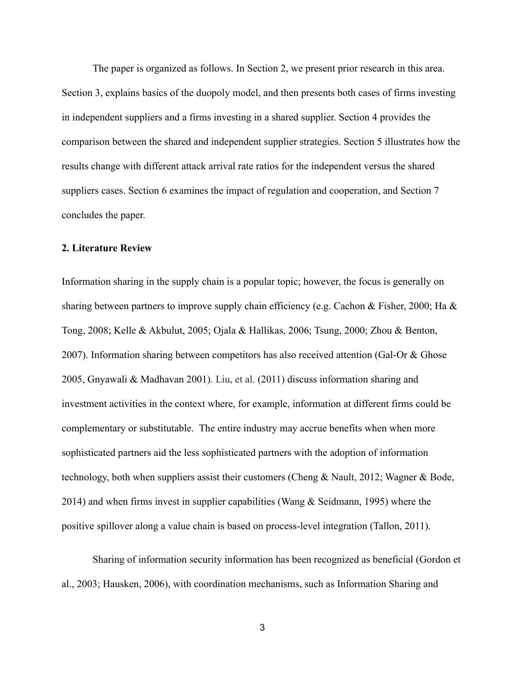The paper is organized as follows. In Section 2, we present prior research in this area. Section 3, explains basics of the duopoly model, and then presents both cases of firms investing in independent suppliers and a firms investing in a shared supplier. Section 4 provides the comparison between the shared and independent supplier strategies. Section 5 illustrates how the results change with different attack arrival rate ratios for the independent versus the shared suppliers cases. Section 6 examines the impact of regulation and cooperation, and Section 7 concludes the paper.

### **2. Literature Review**

Information sharing in the supply chain is a popular topic; however, the focus is generally on sharing between partners to improve supply chain efficiency (e.g. Cachon & Fisher, 2000; Ha & Tong, 2008; Kelle & Akbulut, 2005; Ojala & Hallikas, 2006; Tsung, 2000; Zhou & Benton, 2007). Information sharing between competitors has also received attention (Gal-Or & Ghose 2005, Gnyawali & Madhavan 2001). Liu, et al. (2011) discuss information sharing and investment activities in the context where, for example, information at different firms could be complementary or substitutable. The entire industry may accrue benefits when when more sophisticated partners aid the less sophisticated partners with the adoption of information technology, both when suppliers assist their customers (Cheng & Nault, 2012; Wagner & Bode, 2014) and when firms invest in supplier capabilities (Wang  $\&$  Seidmann, 1995) where the positive spillover along a value chain is based on process-level integration (Tallon, 2011).

Sharing of information security information has been recognized as beneficial (Gordon et al., 2003; Hausken, 2006), with coordination mechanisms, such as Information Sharing and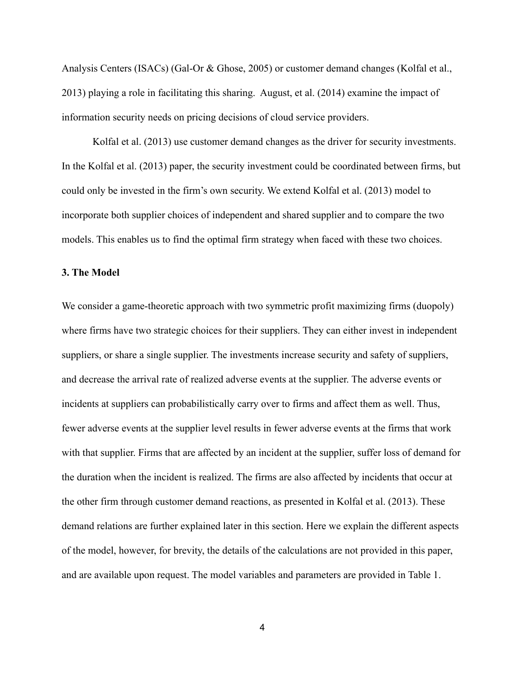Analysis Centers (ISACs) (Gal-Or & Ghose, 2005) or customer demand changes (Kolfal et al., 2013) playing a role in facilitating this sharing. August, et al. (2014) examine the impact of information security needs on pricing decisions of cloud service providers.

Kolfal et al. (2013) use customer demand changes as the driver for security investments. In the Kolfal et al. (2013) paper, the security investment could be coordinated between firms, but could only be invested in the firm's own security. We extend Kolfal et al. (2013) model to incorporate both supplier choices of independent and shared supplier and to compare the two models. This enables us to find the optimal firm strategy when faced with these two choices.

#### **3. The Model**

We consider a game-theoretic approach with two symmetric profit maximizing firms (duopoly) where firms have two strategic choices for their suppliers. They can either invest in independent suppliers, or share a single supplier. The investments increase security and safety of suppliers, and decrease the arrival rate of realized adverse events at the supplier. The adverse events or incidents at suppliers can probabilistically carry over to firms and affect them as well. Thus, fewer adverse events at the supplier level results in fewer adverse events at the firms that work with that supplier. Firms that are affected by an incident at the supplier, suffer loss of demand for the duration when the incident is realized. The firms are also affected by incidents that occur at the other firm through customer demand reactions, as presented in Kolfal et al. (2013). These demand relations are further explained later in this section. Here we explain the different aspects of the model, however, for brevity, the details of the calculations are not provided in this paper, and are available upon request. The model variables and parameters are provided in Table 1.

4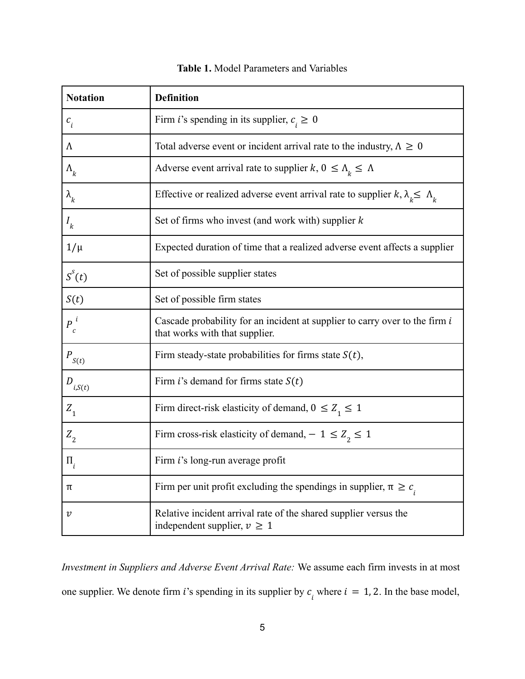| <b>Notation</b>            | <b>Definition</b>                                                                                             |  |  |
|----------------------------|---------------------------------------------------------------------------------------------------------------|--|--|
| $c_{i}$                    | Firm <i>i</i> 's spending in its supplier, $c_i \geq 0$                                                       |  |  |
| Λ                          | Total adverse event or incident arrival rate to the industry, $\Lambda \geq 0$                                |  |  |
| $\Lambda_k$                | Adverse event arrival rate to supplier $k, 0 \leq \Lambda_k \leq \Lambda$                                     |  |  |
| $\lambda_{k}$              | Effective or realized adverse event arrival rate to supplier $k, \lambda_k \leq \Lambda_k$                    |  |  |
| $I_k$                      | Set of firms who invest (and work with) supplier $k$                                                          |  |  |
| $1/\mu$                    | Expected duration of time that a realized adverse event affects a supplier                                    |  |  |
| $S^{s}(t)$                 | Set of possible supplier states                                                                               |  |  |
| S(t)                       | Set of possible firm states                                                                                   |  |  |
| $P^{i}$<br>С               | Cascade probability for an incident at supplier to carry over to the firm i<br>that works with that supplier. |  |  |
| $P_{S(t)}$                 | Firm steady-state probabilities for firms state $S(t)$ ,                                                      |  |  |
| $D_{i,S(t)}$               | Firm i's demand for firms state $S(t)$                                                                        |  |  |
| $Z_{1}$                    | Firm direct-risk elasticity of demand, $0 \le Z_1 \le 1$                                                      |  |  |
| $Z_{\rm _2}$               | Firm cross-risk elasticity of demand, $-1 \le Z_{2} \le 1$                                                    |  |  |
| $\Pi$ .                    | Firm i's long-run average profit                                                                              |  |  |
| π                          | Firm per unit profit excluding the spendings in supplier, $\pi \geq c_i$                                      |  |  |
| $\boldsymbol{\mathcal{V}}$ | Relative incident arrival rate of the shared supplier versus the<br>independent supplier, $v \ge 1$           |  |  |

| <b>Table 1.</b> Model Parameters and Variables |  |
|------------------------------------------------|--|
|------------------------------------------------|--|

*Investment in Suppliers and Adverse Event Arrival Rate:* We assume each firm invests in at most one supplier. We denote firm *i*'s spending in its supplier by  $c_i$  where  $i = 1, 2$ . In the base model,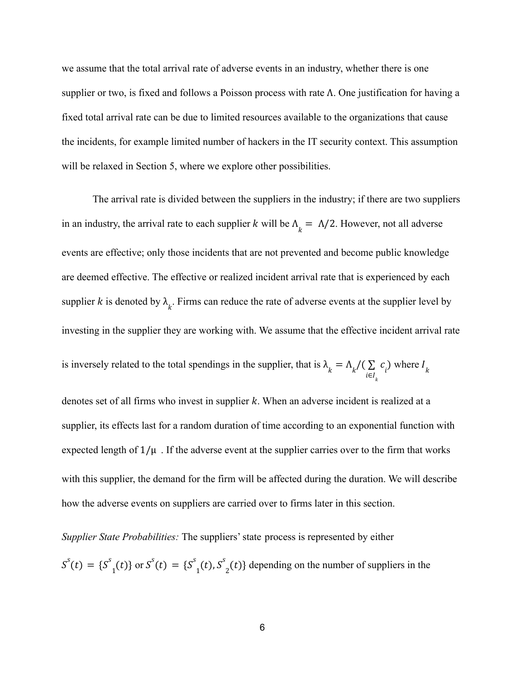we assume that the total arrival rate of adverse events in an industry, whether there is one supplier or two, is fixed and follows a Poisson process with rate Λ. One justification for having a fixed total arrival rate can be due to limited resources available to the organizations that cause the incidents, for example limited number of hackers in the IT security context. This assumption will be relaxed in Section 5, where we explore other possibilities.

The arrival rate is divided between the suppliers in the industry; if there are two suppliers in an industry, the arrival rate to each supplier k will be  $\Lambda_k = \Lambda/2$ . However, not all adverse events are effective; only those incidents that are not prevented and become public knowledge are deemed effective. The effective or realized incident arrival rate that is experienced by each supplier k is denoted by  $\lambda_{i}$ . Firms can reduce the rate of adverse events at the supplier level by investing in the supplier they are working with. We assume that the effective incident arrival rate is inversely related to the total spendings in the supplier, that is  $\lambda_k = \Lambda_k / (\sum_{i \in I} c_i)$  where  $i ∈ I_k$  $\sum_{i} c_i$  where  $I_k$ 

denotes set of all firms who invest in supplier  $k$ . When an adverse incident is realized at a supplier, its effects last for a random duration of time according to an exponential function with expected length of  $1/\mu$ . If the adverse event at the supplier carries over to the firm that works with this supplier, the demand for the firm will be affected during the duration. We will describe how the adverse events on suppliers are carried over to firms later in this section.

*Supplier State Probabilities:* The suppliers' state process is represented by either

 $S^{s}(t) = \{S^{s}(t)\}\$  or  $S^{s}(t) = \{S^{s}(t), S^{s}(t)\}\$  depending on the number of suppliers in the  $\{f_1(t)\}\text{ or }S^s(t) = \{S^s\}$  $\int_1^1(t)$ ,  $S^s$  $_2(t)$ }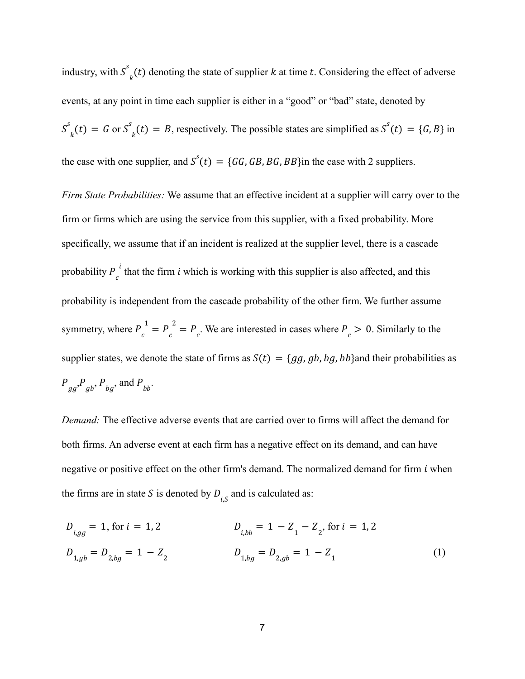industry, with  $S_k^s(t)$  denoting the state of supplier k at time t. Considering the effect of adverse events, at any point in time each supplier is either in a "good" or "bad" state, denoted by  $S_{k}^{s}(t) = G$  or  $S_{k}^{s}(t) = B$ , respectively. The possible states are simplified as  $S^{s}(t) = \{G, B\}$  in  $\mathcal{L}_k(t) = B$ , respectively. The possible states are simplified as  $S^s(t) = \{G, B\}$ the case with one supplier, and  $S<sup>s</sup>(t) = {GG, GB, BG, BB}$  in the case with 2 suppliers.

*Firm State Probabilities:* We assume that an effective incident at a supplier will carry over to the firm or firms which are using the service from this supplier, with a fixed probability. More specifically, we assume that if an incident is realized at the supplier level, there is a cascade probability  $P_c^t$  that the firm i which is working with this supplier is also affected, and this  $i$  that the firm  $i$ probability is independent from the cascade probability of the other firm. We further assume symmetry, where  $P_c^1 = P_c^2 = P_c$ . We are interested in cases where  $P_c > 0$ . Similarly to the supplier states, we denote the state of firms as  $S(t) = \{gg, gb, bg, bb\}$  and their probabilities as  $P_{gg}$ ,  $P_{gb}$ ,  $P_{bg}$ , and  $P_{bb}$ .

*Demand:* The effective adverse events that are carried over to firms will affect the demand for both firms. An adverse event at each firm has a negative effect on its demand, and can have negative or positive effect on the other firm's demand. The normalized demand for firm  $i$  when the firms are in state S is denoted by  $D_{i,S}$  and is calculated as:

$$
D_{i,gg} = 1, \text{ for } i = 1, 2
$$
\n
$$
D_{i,bb} = 1 - Z_1 - Z_2, \text{ for } i = 1, 2
$$
\n
$$
D_{1,gb} = D_{2,bg} = 1 - Z_2
$$
\n
$$
D_{1,bg} = D_{2,gb} = 1 - Z_1
$$
\n
$$
(1)
$$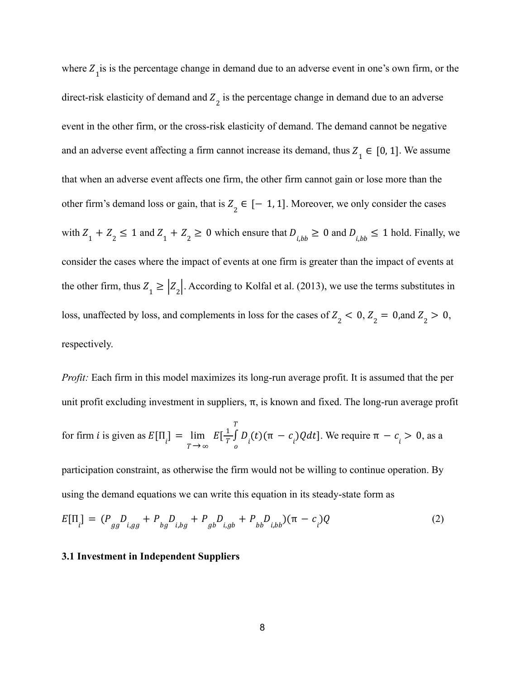where  $Z_1$  is is the percentage change in demand due to an adverse event in one's own firm, or the direct-risk elasticity of demand and  $Z_2$  is the percentage change in demand due to an adverse event in the other firm, or the cross-risk elasticity of demand. The demand cannot be negative and an adverse event affecting a firm cannot increase its demand, thus  $Z_1 \in [0, 1]$ . We assume that when an adverse event affects one firm, the other firm cannot gain or lose more than the other firm's demand loss or gain, that is  $Z_2 \in [-1, 1]$ . Moreover, we only consider the cases with  $Z_1 + Z_2 \le 1$  and  $Z_1 + Z_2 \ge 0$  which ensure that  $D_{i, bb} \ge 0$  and  $D_{i, bb} \le 1$  hold. Finally, we consider the cases where the impact of events at one firm is greater than the impact of events at the other firm, thus  $Z_1 \geq |Z_2|$ . According to Kolfal et al. (2013), we use the terms substitutes in loss, unaffected by loss, and complements in loss for the cases of  $Z_2 < 0$ ,  $Z_2 = 0$ , and  $Z_2 > 0$ , respectively.

*Profit:* Each firm in this model maximizes its long-run average profit. It is assumed that the per unit profit excluding investment in suppliers,  $\pi$ , is known and fixed. The long-run average profit for firm *i* is given as  $E[\Pi_i] = \lim_{T \to \infty} E[\frac{1}{T} \int D_i(t) (\pi - c_i) Q dt]$ . We require  $\pi - c_i > 0$ , as a  $T \rightarrow \infty$ lim  $\rightarrow$  $E[\frac{1}{T}]$  $T^{\prime}_{0}$ T  $\int D_i(t)(\pi - c_i)Qdt$ . We require  $\pi - c_i > 0$ ,

participation constraint, as otherwise the firm would not be willing to continue operation. By using the demand equations we can write this equation in its steady-state form as

$$
E[\Pi_i] = (P_{gg}D_{i,gg} + P_{bg}D_{i,bg} + P_{gb}D_{i,gb} + P_{bb}D_{i,bb})(\pi - c_i)Q
$$
 (2)

### **3.1 Investment in Independent Suppliers**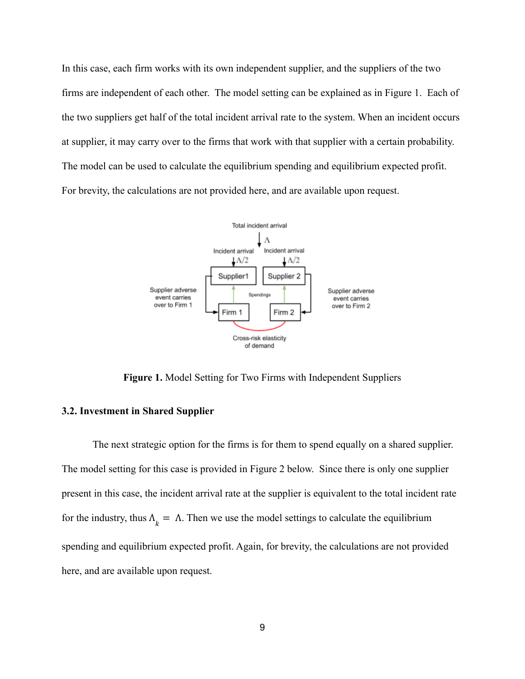In this case, each firm works with its own independent supplier, and the suppliers of the two firms are independent of each other. The model setting can be explained as in Figure 1. Each of the two suppliers get half of the total incident arrival rate to the system. When an incident occurs at supplier, it may carry over to the firms that work with that supplier with a certain probability. The model can be used to calculate the equilibrium spending and equilibrium expected profit. For brevity, the calculations are not provided here, and are available upon request.



**Figure 1.** Model Setting for Two Firms with Independent Suppliers

# **3.2. Investment in Shared Supplier**

The next strategic option for the firms is for them to spend equally on a shared supplier. The model setting for this case is provided in Figure 2 below. Since there is only one supplier present in this case, the incident arrival rate at the supplier is equivalent to the total incident rate for the industry, thus  $\Lambda_k = \Lambda$ . Then we use the model settings to calculate the equilibrium spending and equilibrium expected profit. Again, for brevity, the calculations are not provided here, and are available upon request.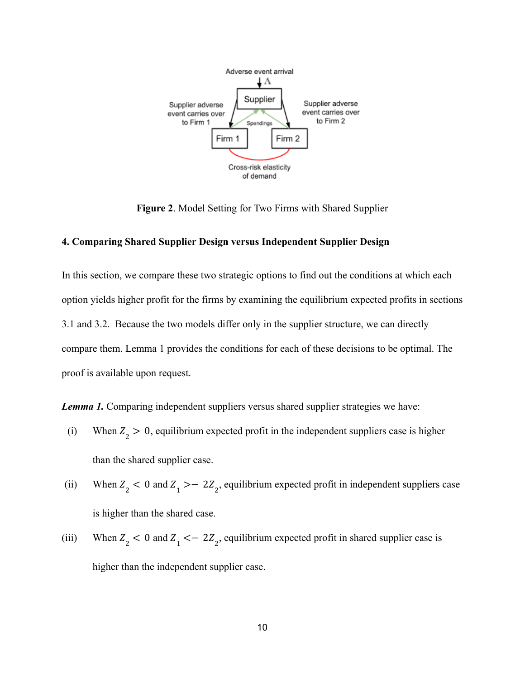

**Figure 2**. Model Setting for Two Firms with Shared Supplier

# **4. Comparing Shared Supplier Design versus Independent Supplier Design**

In this section, we compare these two strategic options to find out the conditions at which each option yields higher profit for the firms by examining the equilibrium expected profits in sections 3.1 and 3.2. Because the two models differ only in the supplier structure, we can directly compare them. Lemma 1 provides the conditions for each of these decisions to be optimal. The proof is available upon request.

*Lemma 1.* Comparing independent suppliers versus shared supplier strategies we have:

- (i) When  $Z_2 > 0$ , equilibrium expected profit in the independent suppliers case is higher than the shared supplier case.
- (ii) When  $Z_2 < 0$  and  $Z_1 > -2Z_2$ , equilibrium expected profit in independent suppliers case is higher than the shared case.
- (iii) When  $Z_2 < 0$  and  $Z_1 < -2Z_2$ , equilibrium expected profit in shared supplier case is higher than the independent supplier case.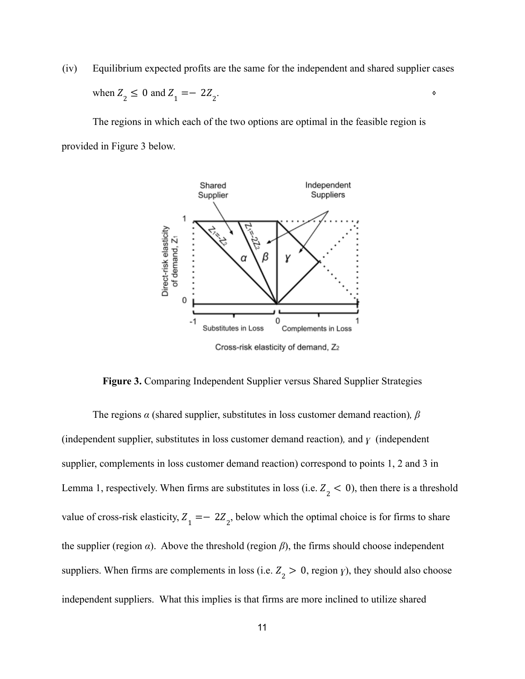(iv) Equilibrium expected profits are the same for the independent and shared supplier cases when  $Z_2 \le 0$  and  $Z_1 = -2Z_2$ . ⋄

The regions in which each of the two options are optimal in the feasible region is provided in Figure 3 below.



**Figure 3.** Comparing Independent Supplier versus Shared Supplier Strategies

The regions *α* (shared supplier, substitutes in loss customer demand reaction)*, β* (independent supplier, substitutes in loss customer demand reaction)*,* and *ɣ* (independent supplier, complements in loss customer demand reaction) correspond to points 1, 2 and 3 in Lemma 1, respectively. When firms are substitutes in loss (i.e.  $Z_2 < 0$ ), then there is a threshold value of cross-risk elasticity,  $Z_1 = -2Z_2$ , below which the optimal choice is for firms to share the supplier (region  $\alpha$ ). Above the threshold (region  $\beta$ ), the firms should choose independent suppliers. When firms are complements in loss (i.e.  $Z_2 > 0$ , region *y*), they should also choose independent suppliers. What this implies is that firms are more inclined to utilize shared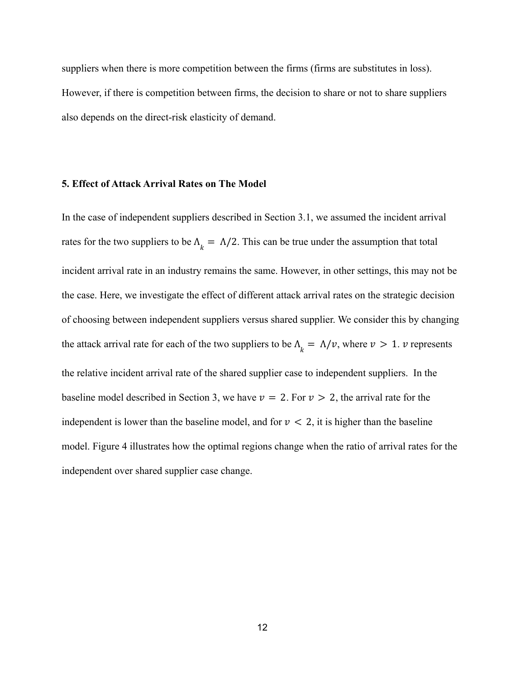suppliers when there is more competition between the firms (firms are substitutes in loss). However, if there is competition between firms, the decision to share or not to share suppliers also depends on the direct-risk elasticity of demand.

#### **5. Effect of Attack Arrival Rates on The Model**

In the case of independent suppliers described in Section 3.1, we assumed the incident arrival rates for the two suppliers to be  $\Lambda_k = \Lambda/2$ . This can be true under the assumption that total incident arrival rate in an industry remains the same. However, in other settings, this may not be the case. Here, we investigate the effect of different attack arrival rates on the strategic decision of choosing between independent suppliers versus shared supplier. We consider this by changing the attack arrival rate for each of the two suppliers to be  $\Lambda_k = \Lambda/v$ , where  $v > 1$ . v represents the relative incident arrival rate of the shared supplier case to independent suppliers. In the baseline model described in Section 3, we have  $v = 2$ . For  $v > 2$ , the arrival rate for the independent is lower than the baseline model, and for  $\nu < 2$ , it is higher than the baseline model. Figure 4 illustrates how the optimal regions change when the ratio of arrival rates for the independent over shared supplier case change.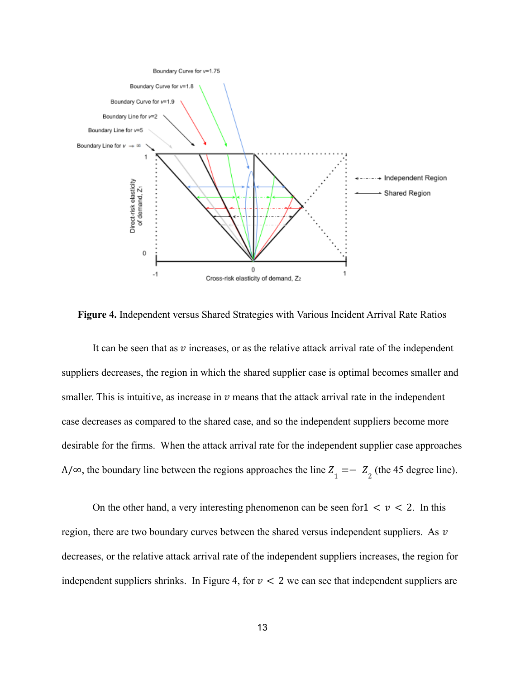

**Figure 4.** Independent versus Shared Strategies with Various Incident Arrival Rate Ratios

It can be seen that as  $\nu$  increases, or as the relative attack arrival rate of the independent suppliers decreases, the region in which the shared supplier case is optimal becomes smaller and smaller. This is intuitive, as increase in  $\nu$  means that the attack arrival rate in the independent case decreases as compared to the shared case, and so the independent suppliers become more desirable for the firms. When the attack arrival rate for the independent supplier case approaches  $\Lambda/\infty$ , the boundary line between the regions approaches the line  $Z_1 = -Z_2$  (the 45 degree line).

On the other hand, a very interesting phenomenon can be seen for  $1 \lt v \lt 2$ . In this region, there are two boundary curves between the shared versus independent suppliers. As  $\nu$ decreases, or the relative attack arrival rate of the independent suppliers increases, the region for independent suppliers shrinks. In Figure 4, for  $\nu < 2$  we can see that independent suppliers are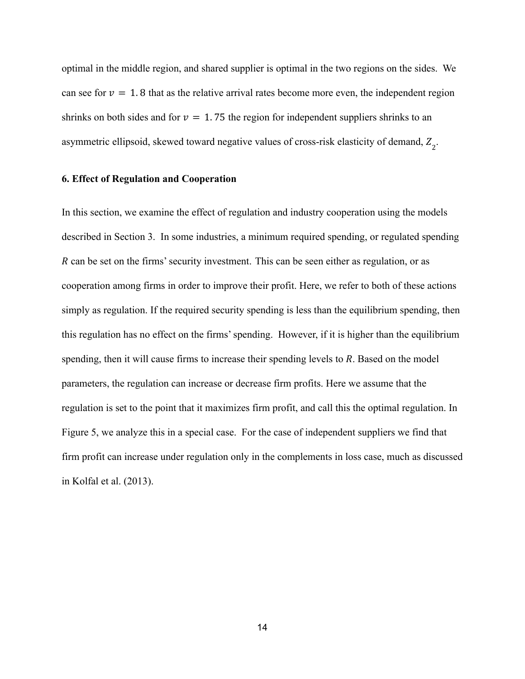optimal in the middle region, and shared supplier is optimal in the two regions on the sides. We can see for  $v = 1.8$  that as the relative arrival rates become more even, the independent region shrinks on both sides and for  $v = 1.75$  the region for independent suppliers shrinks to an asymmetric ellipsoid, skewed toward negative values of cross-risk elasticity of demand,  $Z_2$ .

#### **6. Effect of Regulation and Cooperation**

In this section, we examine the effect of regulation and industry cooperation using the models described in Section 3. In some industries, a minimum required spending, or regulated spending R can be set on the firms' security investment. This can be seen either as regulation, or as cooperation among firms in order to improve their profit. Here, we refer to both of these actions simply as regulation. If the required security spending is less than the equilibrium spending, then this regulation has no effect on the firms' spending. However, if it is higher than the equilibrium spending, then it will cause firms to increase their spending levels to  $R$ . Based on the model parameters, the regulation can increase or decrease firm profits. Here we assume that the regulation is set to the point that it maximizes firm profit, and call this the optimal regulation. In Figure 5, we analyze this in a special case. For the case of independent suppliers we find that firm profit can increase under regulation only in the complements in loss case, much as discussed in Kolfal et al. (2013).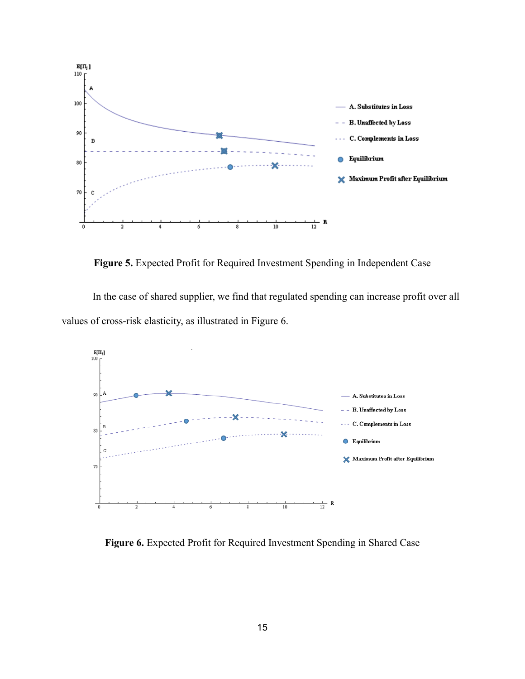

**Figure 5.** Expected Profit for Required Investment Spending in Independent Case

In the case of shared supplier, we find that regulated spending can increase profit over all values of cross-risk elasticity, as illustrated in Figure 6.



**Figure 6.** Expected Profit for Required Investment Spending in Shared Case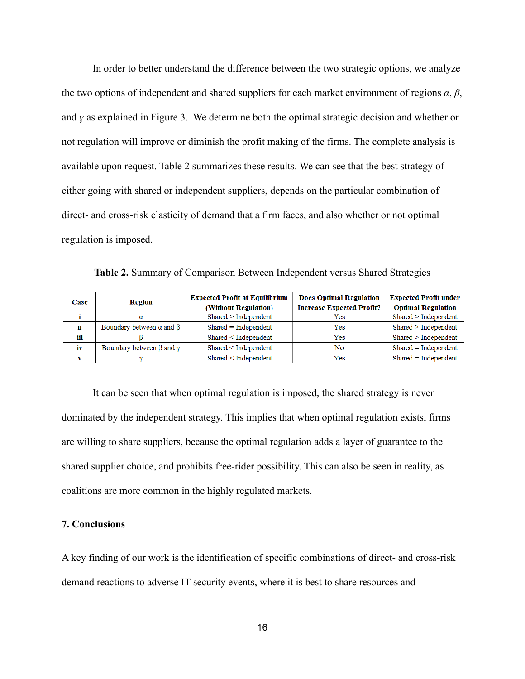In order to better understand the difference between the two strategic options, we analyze the two options of independent and shared suppliers for each market environment of regions  $\alpha$ ,  $\beta$ , and *ɣ* as explained in Figure 3. We determine both the optimal strategic decision and whether or not regulation will improve or diminish the profit making of the firms. The complete analysis is available upon request. Table 2 summarizes these results. We can see that the best strategy of either going with shared or independent suppliers, depends on the particular combination of direct- and cross-risk elasticity of demand that a firm faces, and also whether or not optimal regulation is imposed.

**Table 2.** Summary of Comparison Between Independent versus Shared Strategies

| Case | Region                                | <b>Expected Profit at Equilibrium</b> | <b>Does Optimal Regulation</b>   | <b>Expected Profit under</b> |
|------|---------------------------------------|---------------------------------------|----------------------------------|------------------------------|
|      |                                       | (Without Regulation)                  | <b>Increase Expected Profit?</b> | <b>Optimal Regulation</b>    |
|      | α                                     | Shared > Independent                  | Yes                              | Shared > Independent         |
|      | Boundary between $\alpha$ and $\beta$ | $Shared = Independent$                | Yes                              | Shared > Independent         |
| iii  |                                       | Shared < Independent                  | Yes                              | Shared > Independent         |
| iv   | Boundary between $\beta$ and $\gamma$ | Shared < Independent                  | No                               | $Shared = Independent$       |
|      |                                       | Shared < Independent                  | Yes                              | $Shared = Independent$       |

It can be seen that when optimal regulation is imposed, the shared strategy is never dominated by the independent strategy. This implies that when optimal regulation exists, firms are willing to share suppliers, because the optimal regulation adds a layer of guarantee to the shared supplier choice, and prohibits free-rider possibility. This can also be seen in reality, as coalitions are more common in the highly regulated markets.

### **7. Conclusions**

A key finding of our work is the identification of specific combinations of direct- and cross-risk demand reactions to adverse IT security events, where it is best to share resources and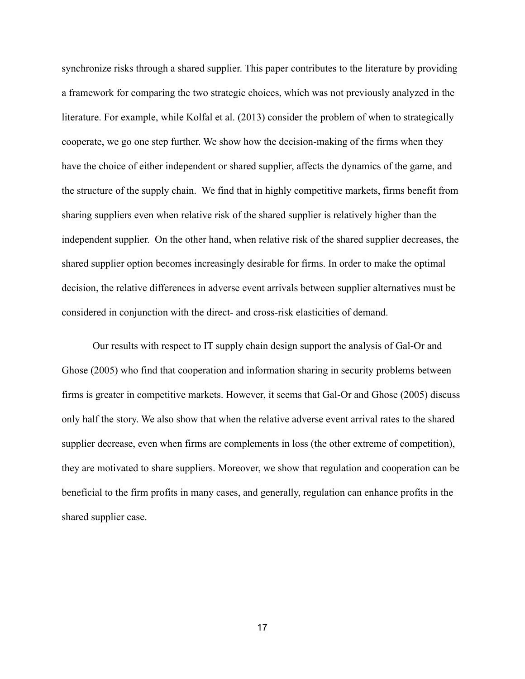synchronize risks through a shared supplier. This paper contributes to the literature by providing a framework for comparing the two strategic choices, which was not previously analyzed in the literature. For example, while Kolfal et al. (2013) consider the problem of when to strategically cooperate, we go one step further. We show how the decision-making of the firms when they have the choice of either independent or shared supplier, affects the dynamics of the game, and the structure of the supply chain. We find that in highly competitive markets, firms benefit from sharing suppliers even when relative risk of the shared supplier is relatively higher than the independent supplier. On the other hand, when relative risk of the shared supplier decreases, the shared supplier option becomes increasingly desirable for firms. In order to make the optimal decision, the relative differences in adverse event arrivals between supplier alternatives must be considered in conjunction with the direct- and cross-risk elasticities of demand.

Our results with respect to IT supply chain design support the analysis of Gal-Or and Ghose (2005) who find that cooperation and information sharing in security problems between firms is greater in competitive markets. However, it seems that Gal-Or and Ghose (2005) discuss only half the story. We also show that when the relative adverse event arrival rates to the shared supplier decrease, even when firms are complements in loss (the other extreme of competition), they are motivated to share suppliers. Moreover, we show that regulation and cooperation can be beneficial to the firm profits in many cases, and generally, regulation can enhance profits in the shared supplier case.

17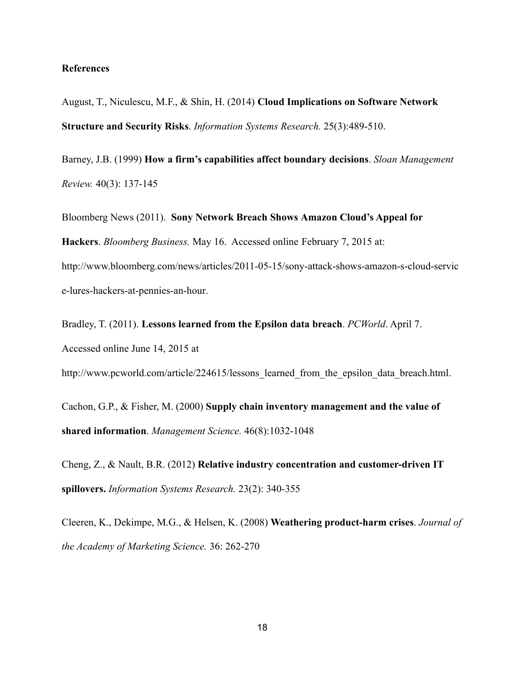### **References**

August, T., Niculescu, M.F., & Shin, H. (2014) **Cloud Implications on Software Network Structure and Security Risks**. *Information Systems Research.* 25(3):489-510.

Barney, J.B. (1999) **How a firm's capabilities affect boundary decisions**. *Sloan Management Review.* 40(3): 137-145

Bloomberg News (2011). **Sony Network Breach Shows Amazon Cloud's Appeal for Hackers**. *Bloomberg Business.* May 16. Accessed online February 7, 2015 at: [http://www.bloomberg.com/news/articles/2011-05-15/sony-attack-shows-amazon-s-cloud-servic](http://www.bloomberg.com/news/articles/2011-05-15/sony-attack-shows-amazon-s-cloud-service-lures-hackers-at-pennies-an-hour) [e-lures-hackers-at-pennies-an-hour.](http://www.bloomberg.com/news/articles/2011-05-15/sony-attack-shows-amazon-s-cloud-service-lures-hackers-at-pennies-an-hour)

Bradley, T. (2011). **Lessons learned from the Epsilon data breach**. *PCWorld*. April 7. Accessed online June 14, 2015 at

http://www.pcworld.com/article/224615/lessons learned from the epsilon data breach.html.

Cachon, G.P., & Fisher, M. (2000) **Supply chain inventory management and the value of shared information**. *Management Science.* 46(8):1032-1048

Cheng, Z., & Nault, B.R. (2012) **Relative industry concentration and customer-driven IT spillovers.** *Information Systems Research.* 23(2): 340-355

Cleeren, K., Dekimpe, M.G., & Helsen, K. (2008) **Weathering product-harm crises**. *Journal of the Academy of Marketing Science.* 36: 262-270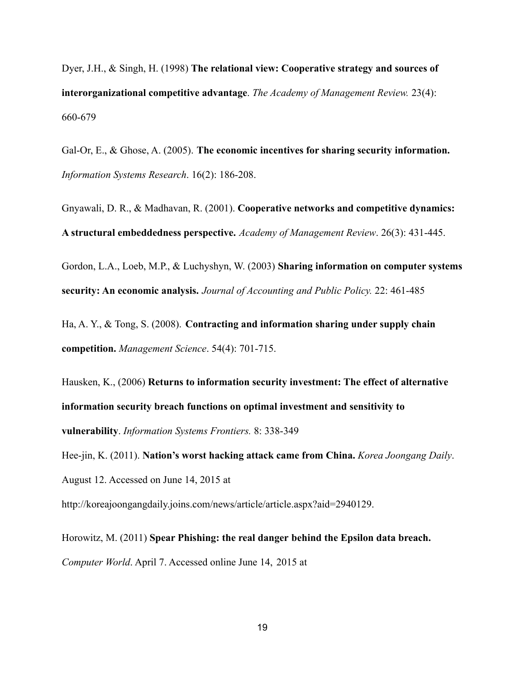Dyer, J.H., & Singh, H. (1998) **The relational view: Cooperative strategy and sources of interorganizational competitive advantage**. *The Academy of Management Review.* 23(4): 660-679

Gal-Or, E., & Ghose, A. (2005). **The economic incentives for sharing security information.** *Information Systems Research*. 16(2): 186-208.

Gnyawali, D. R., & Madhavan, R. (2001). **Cooperative networks and competitive dynamics: A structural embeddedness perspective.** *Academy of Management Review*. 26(3): 431-445.

Gordon, L.A., Loeb, M.P., & Luchyshyn, W. (2003) **Sharing information on computer systems security: An economic analysis.** *Journal of Accounting and Public Policy.* 22: 461-485

Ha, A. Y., & Tong, S. (2008). **Contracting and information sharing under supply chain competition.** *Management Science*. 54(4): 701-715.

Hausken, K., (2006) **Returns to information security investment: The effect of alternative information security breach functions on optimal investment and sensitivity to vulnerability**. *Information Systems Frontiers.* 8: 338-349

Hee-jin, K. (2011). **Nation's worst hacking attack came from China.** *Korea Joongang Daily*. August 12. Accessed on June 14, 2015 at

[http://koreajoongangdaily.joins.com/news/article/article.aspx?aid=2940129.](http://koreajoongangdaily.joins.com/news/article/article.aspx?aid=2940129)

Horowitz, M. (2011) **Spear Phishing: the real danger behind the Epsilon data breach.** *Computer World*. April 7. Accessed online June 14, 2015 at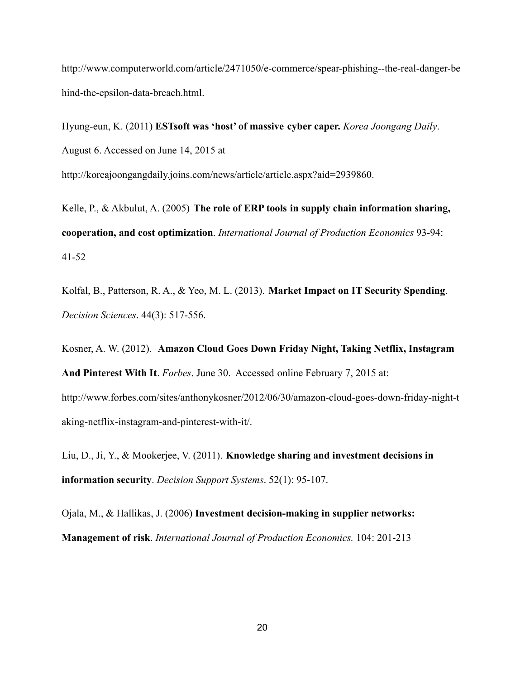[http://www.computerworld.com/article/2471050/e-commerce/spear-phishing--the-real-danger-be](http://www.computerworld.com/article/2471050/e-commerce/spear-phishing--the-real-danger-behind-the-epsilon-data-breach.html) [hind-the-epsilon-data-breach.html.](http://www.computerworld.com/article/2471050/e-commerce/spear-phishing--the-real-danger-behind-the-epsilon-data-breach.html)

Hyung-eun, K. (2011) **ESTsoft was 'host' of massive cyber caper.** *Korea Joongang Daily*. August 6. Accessed on June 14, 2015 at [http://koreajoongangdaily.joins.com/news/article/article.aspx?aid=2939860.](http://koreajoongangdaily.joins.com/news/article/article.aspx?aid=2939860)

Kelle, P., & Akbulut, A. (2005) **The role of ERP tools in supply chain information sharing, cooperation, and cost optimization**. *International Journal of Production Economics* 93-94: 41-52

Kolfal, B., Patterson, R. A., & Yeo, M. L. (2013). **Market Impact on IT Security Spending**. *Decision Sciences*. 44(3): 517-556.

Kosner, A. W. (2012). **Amazon Cloud Goes Down Friday Night, Taking Netflix, Instagram And Pinterest With It**. *Forbes*. June 30. Accessed online February 7, 2015 at: http://www.forbes.com/sites/anthonykosner/2012/06/30/amazon-cloud-goes-down-friday-night-t aking-netflix-instagram-and-pinterest-with-it/.

Liu, D., Ji, Y., & Mookerjee, V. (2011). **Knowledge sharing and investment decisions in information security**. *Decision Support Systems*. 52(1): 95-107.

Ojala, M., & Hallikas, J. (2006) **Investment decision-making in supplier networks: Management of risk**. *International Journal of Production Economics.* 104: 201-213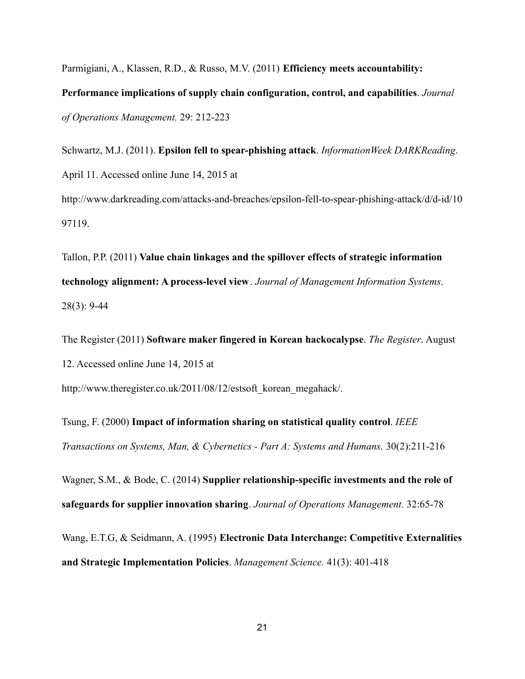Parmigiani, A., Klassen, R.D., & Russo, M.V. (2011) **Efficiency meets accountability: Performance implications of supply chain configuration, control, and capabilities**. *Journal of Operations Management.* 29: 212-223

Schwartz, M.J. (2011). **Epsilon fell to spear-phishing attack**. *InformationWeek DARKReading*. April 11. Accessed online June 14, 2015 at [http://www.darkreading.com/attacks-and-breaches/epsilon-fell-to-spear-phishing-attack/d/d-id/10](http://www.darkreading.com/attacks-and-breaches/epsilon-fell-to-spear-phishing-attack/d/d-id/1097119) [97119.](http://www.darkreading.com/attacks-and-breaches/epsilon-fell-to-spear-phishing-attack/d/d-id/1097119)

Tallon, P.P. (2011) **Value chain linkages and the spillover effects of strategic information technology alignment: A process-level view**. *Journal of Management Information Systems*. 28(3): 9-44

The Register (2011) **Software maker fingered in Korean hackocalypse**. *The Register*. August 12. Accessed online June 14, 2015 at

[http://www.theregister.co.uk/2011/08/12/estsoft\\_korean\\_megahack/](http://www.theregister.co.uk/2011/08/12/estsoft_korean_megahack/).

Tsung, F. (2000) **Impact of information sharing on statistical quality control**. *IEEE Transactions on Systems, Man, & Cybernetics - Part A: Systems and Humans.* 30(2):211-216

Wagner, S.M., & Bode, C. (2014) **Supplier relationship-specific investments and the role of safeguards for supplier innovation sharing**. *Journal of Operations Management.* 32:65-78

Wang, E.T.G, & Seidmann, A. (1995) **Electronic Data Interchange: Competitive Externalities and Strategic Implementation Policies**. *Management Science.* 41(3): 401-418